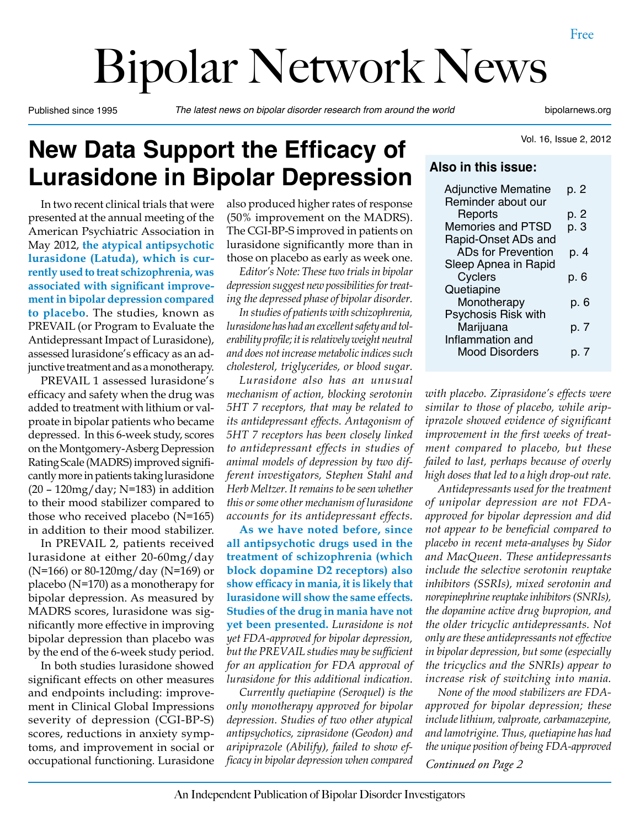# Bipolar Network News

Published since 1995 *The latest news on bipolar disorder research from around the world* bipolarnews.org

## **New Data Support the Efficacy of Lurasidone in Bipolar Depression**

In two recent clinical trials that were presented at the annual meeting of the American Psychiatric Association in May 2012, **the atypical antipsychotic lurasidone (Latuda), which is currently used to treat schizophrenia, was associated with significant improvement in bipolar depression compared to placebo**. The studies, known as PREVAIL (or Program to Evaluate the Antidepressant Impact of Lurasidone), assessed lurasidone's efficacy as an adjunctive treatment and as a monotherapy.

PREVAIL 1 assessed lurasidone's efficacy and safety when the drug was added to treatment with lithium or valproate in bipolar patients who became depressed. In this 6-week study, scores on the Montgomery-Asberg Depression Rating Scale (MADRS) improved significantly more in patients taking lurasidone  $(20 - 120$ mg/day; N=183) in addition to their mood stabilizer compared to those who received placebo (N=165) in addition to their mood stabilizer.

In PREVAIL 2, patients received lurasidone at either 20-60mg/day (N=166) or 80-120mg/day (N=169) or placebo (N=170) as a monotherapy for bipolar depression. As measured by MADRS scores, lurasidone was significantly more effective in improving bipolar depression than placebo was by the end of the 6-week study period.

In both studies lurasidone showed significant effects on other measures and endpoints including: improvement in Clinical Global Impressions severity of depression (CGI-BP-S) scores, reductions in anxiety symptoms, and improvement in social or occupational functioning. Lurasidone

also produced higher rates of response (50% improvement on the MADRS). The CGI-BP-S improved in patients on lurasidone significantly more than in those on placebo as early as week one.

*Editor's Note: These two trials in bipolar depression suggest new possibilities for treating the depressed phase of bipolar disorder.*

*In studies of patients with schizophrenia, lurasidone has had an excellent safety and tolerability profile; it is relatively weight neutral and does not increase metabolic indices such cholesterol, triglycerides, or blood sugar.* 

*Lurasidone also has an unusual mechanism of action, blocking serotonin 5HT 7 receptors, that may be related to its antidepressant effects. Antagonism of 5HT 7 receptors has been closely linked to antidepressant effects in studies of animal models of depression by two different investigators, Stephen Stahl and Herb Meltzer. It remains to be seen whether this or some other mechanism of lurasidone accounts for its antidepressant effects.*

**As we have noted before, since all antipsychotic drugs used in the treatment of schizophrenia (which block dopamine D2 receptors) also show efficacy in mania, it is likely that lurasidone will show the same effects. Studies of the drug in mania have not yet been presented.** *Lurasidone is not yet FDA-approved for bipolar depression, but the PREVAIL studies may be sufficient for an application for FDA approval of lurasidone for this additional indication.* 

*Currently quetiapine (Seroquel) is the only monotherapy approved for bipolar depression. Studies of two other atypical antipsychotics, ziprasidone (Geodon) and aripiprazole (Abilify), failed to show efficacy in bipolar depression when compared* 

Vol. 16, Issue 2, 2012

#### **Also in this issue:**

| <b>Adjunctive Mematine</b> | p. 2    |
|----------------------------|---------|
| Reminder about our         |         |
| Reports                    | p. 2    |
| <b>Memories and PTSD</b>   | p. 3    |
| Rapid-Onset ADs and        |         |
| <b>ADs for Prevention</b>  | p. 4    |
| Sleep Apnea in Rapid       |         |
| Cyclers                    | p. 6    |
| Quetiapine                 |         |
| Monotherapy                | p. 6    |
| Psychosis Risk with        |         |
| Marijuana                  | p. 7    |
| Inflammation and           |         |
| <b>Mood Disorders</b>      | 7<br>D. |
|                            |         |

*with placebo. Ziprasidone's effects were similar to those of placebo, while aripiprazole showed evidence of significant improvement in the first weeks of treatment compared to placebo, but these failed to last, perhaps because of overly high doses that led to a high drop-out rate.*

*Antidepressants used for the treatment of unipolar depression are not FDAapproved for bipolar depression and did not appear to be beneficial compared to placebo in recent meta-analyses by Sidor and MacQueen. These antidepressants include the selective serotonin reuptake inhibitors (SSRIs), mixed serotonin and norepinephrine reuptake inhibitors (SNRIs), the dopamine active drug bupropion, and the older tricyclic antidepressants. Not only are these antidepressants not effective in bipolar depression, but some (especially the tricyclics and the SNRIs) appear to increase risk of switching into mania.*

*Continued on Page 2 None of the mood stabilizers are FDAapproved for bipolar depression; these include lithium, valproate, carbamazepine, and lamotrigine. Thus, quetiapine has had the unique position of being FDA-approved*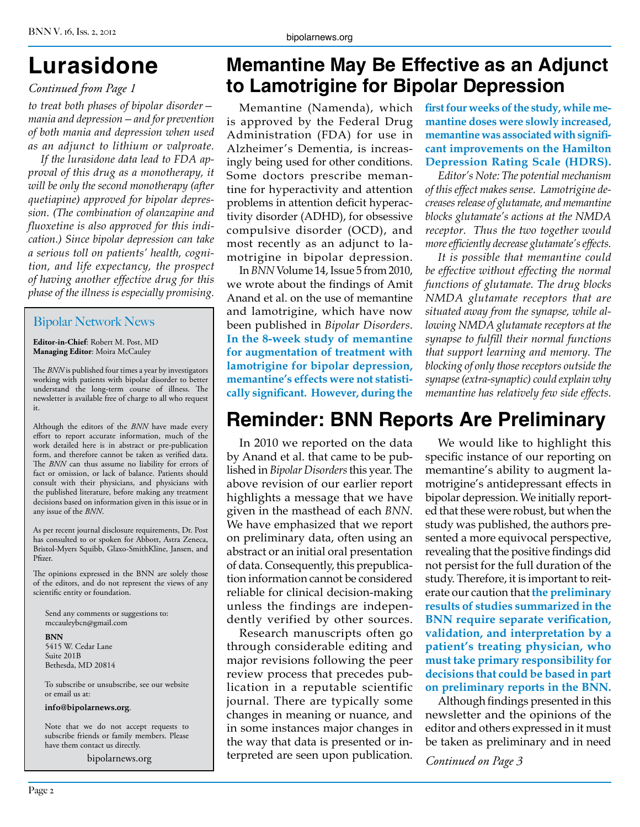#### *Continued from Page 1*

*to treat both phases of bipolar disorder mania and depression—and for prevention of both mania and depression when used as an adjunct to lithium or valproate.* 

*If the lurasidone data lead to FDA approval of this drug as a monotherapy, it will be only the second monotherapy (after quetiapine) approved for bipolar depression. (The combination of olanzapine and fluoxetine is also approved for this indication.) Since bipolar depression can take a serious toll on patients' health, cognition, and life expectancy, the prospect of having another effective drug for this phase of the illness is especially promising.*

#### Bipolar Network News

**Editor-in-Chief**: Robert M. Post, MD **Managing Editor**: Moira McCauley

The *BNN* is published four times a year by investigators working with patients with bipolar disorder to better understand the long-term course of illness. The newsletter is available free of charge to all who request it.

Although the editors of the *BNN* have made every effort to report accurate information, much of the work detailed here is in abstract or pre-publication form, and therefore cannot be taken as verified data. The *BNN* can thus assume no liability for errors of fact or omission, or lack of balance. Patients should consult with their physicians, and physicians with the published literature, before making any treatment decisions based on information given in this issue or in any issue of the *BNN*.

As per recent journal disclosure requirements, Dr. Post has consulted to or spoken for Abbott, Astra Zeneca, Bristol-Myers Squibb, Glaxo-SmithKline, Jansen, and Pfizer.

The opinions expressed in the BNN are solely those of the editors, and do not represent the views of any scientific entity or foundation.

Send any comments or suggestions to: mccauleybcn@gmail.com

**BNN** 5415 W. Cedar Lane Suite 201B Bethesda, MD 20814

To subscribe or unsubscribe, see our website or email us at:

**info@bipolarnews.org**.

Note that we do not accept requests to subscribe friends or family members. Please have them contact us directly.

bipolarnews.org

## **Lurasidone Memantine May Be Effective as an Adjunct to Lamotrigine for Bipolar Depression**

is approved by the Federal Drug Administration (FDA) for use in Alzheimer's Dementia, is increasingly being used for other conditions. Some doctors prescribe memantine for hyperactivity and attention problems in attention deficit hyperactivity disorder (ADHD), for obsessive compulsive disorder (OCD), and most recently as an adjunct to lamotrigine in bipolar depression.

In *BNN* Volume 14, Issue 5 from 2010, we wrote about the findings of Amit Anand et al. on the use of memantine and lamotrigine, which have now been published in *Bipolar Disorders*. **In the 8-week study of memantine for augmentation of treatment with lamotrigine for bipolar depression, memantine's effects were not statistically significant. However, during the** 

Memantine (Namenda), which **first four weeks of the study, while memantine doses were slowly increased, memantine was associated with significant improvements on the Hamilton Depression Rating Scale (HDRS).** 

*Editor's Note: The potential mechanism of this effect makes sense. Lamotrigine decreases release of glutamate, and memantine blocks glutamate's actions at the NMDA receptor. Thus the two together would more efficiently decrease glutamate's effects.*

*It is possible that memantine could be effective without effecting the normal functions of glutamate. The drug blocks NMDA glutamate receptors that are situated away from the synapse, while allowing NMDA glutamate receptors at the synapse to fulfill their normal functions that support learning and memory. The blocking of only those receptors outside the synapse (extra-synaptic) could explain why memantine has relatively few side effects.*

## **Reminder: BNN Reports Are Preliminary**

In 2010 we reported on the data by Anand et al. that came to be published in *Bipolar Disorders* this year. The above revision of our earlier report highlights a message that we have given in the masthead of each *BNN*. We have emphasized that we report on preliminary data, often using an abstract or an initial oral presentation of data. Consequently, this prepublication information cannot be considered reliable for clinical decision-making unless the findings are independently verified by other sources.

Research manuscripts often go through considerable editing and major revisions following the peer review process that precedes publication in a reputable scientific journal. There are typically some changes in meaning or nuance, and in some instances major changes in the way that data is presented or interpreted are seen upon publication.

We would like to highlight this specific instance of our reporting on memantine's ability to augment lamotrigine's antidepressant effects in bipolar depression. We initially reported that these were robust, but when the study was published, the authors presented a more equivocal perspective, revealing that the positive findings did not persist for the full duration of the study. Therefore, it is important to reiterate our caution that **the preliminary results of studies summarized in the BNN require separate verification, validation, and interpretation by a patient's treating physician, who must take primary responsibility for decisions that could be based in part on preliminary reports in the BNN.**

Although findings presented in this newsletter and the opinions of the editor and others expressed in it must be taken as preliminary and in need

*Continued on Page 3*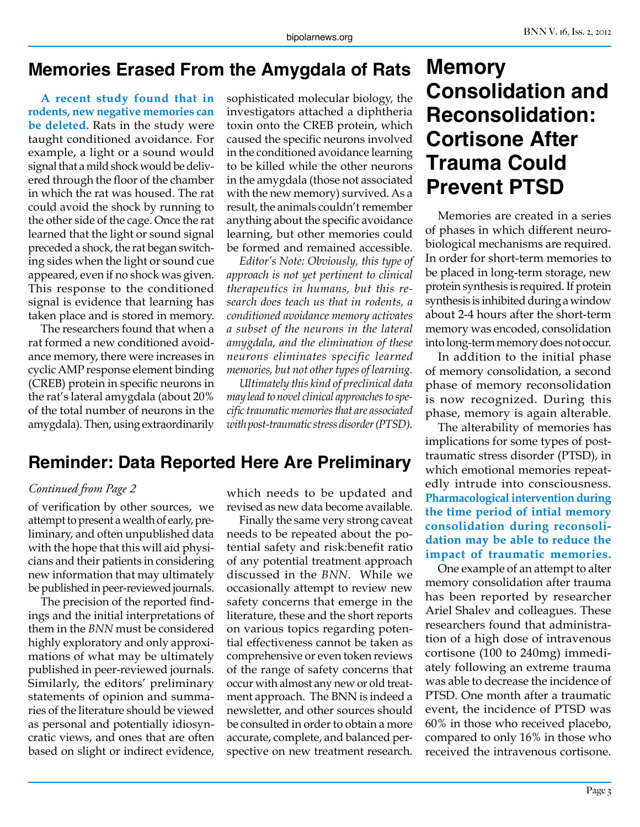## **Memories Erased From the Amygdala of Rats**

**A recent study found that in rodents, new negative memories can be deleted.** Rats in the study were taught conditioned avoidance. For example, a light or a sound would signal that a mild shock would be delivered through the floor of the chamber in which the rat was housed. The rat could avoid the shock by running to the other side of the cage. Once the rat learned that the light or sound signal preceded a shock, the rat began switching sides when the light or sound cue appeared, even if no shock was given. This response to the conditioned signal is evidence that learning has taken place and is stored in memory.

The researchers found that when a rat formed a new conditioned avoidance memory, there were increases in cyclic AMP response element binding (CREB) protein in specific neurons in the rat's lateral amygdala (about 20% of the total number of neurons in the amygdala). Then, using extraordinarily

sophisticated molecular biology, the investigators attached a diphtheria toxin onto the CREB protein, which caused the specific neurons involved in the conditioned avoidance learning to be killed while the other neurons in the amygdala (those not associated with the new memory) survived. As a result, the animals couldn't remember anything about the specific avoidance learning, but other memories could be formed and remained accessible.

*Editor's Note: Obviously, this type of approach is not yet pertinent to clinical therapeutics in humans, but this research does teach us that in rodents, a conditioned avoidance memory activates a subset of the neurons in the lateral amygdala, and the elimination of these neurons eliminates specific learned memories, but not other types of learning.*

*Ultimately this kind of preclinical data may lead to novel clinical approaches to specific traumatic memories that are associated with post-traumatic stress disorder (PTSD).*

## **Reminder: Data Reported Here Are Preliminary**

#### *Continued from Page 2*

of verification by other sources, we attempt to present a wealth of early, preliminary, and often unpublished data with the hope that this will aid physicians and their patients in considering new information that may ultimately be published in peer-reviewed journals.

The precision of the reported findings and the initial interpretations of them in the *BNN* must be considered highly exploratory and only approximations of what may be ultimately published in peer-reviewed journals. Similarly, the editors' preliminary statements of opinion and summaries of the literature should be viewed as personal and potentially idiosyncratic views, and ones that are often based on slight or indirect evidence,

which needs to be updated and revised as new data become available.

Finally the same very strong caveat needs to be repeated about the potential safety and risk:benefit ratio of any potential treatment approach discussed in the *BNN*. While we occasionally attempt to review new safety concerns that emerge in the literature, these and the short reports on various topics regarding potential effectiveness cannot be taken as comprehensive or even token reviews of the range of safety concerns that occur with almost any new or old treatment approach. The BNN is indeed a newsletter, and other sources should be consulted in order to obtain a more accurate, complete, and balanced perspective on new treatment research.

## **Memory Consolidation and Reconsolidation: Cortisone After Trauma Could Prevent PTSD**

Memories are created in a series of phases in which different neurobiological mechanisms are required. In order for short-term memories to be placed in long-term storage, new protein synthesis is required. If protein synthesis is inhibited during a window about 2-4 hours after the short-term memory was encoded, consolidation into long-term memory does not occur.

In addition to the initial phase of memory consolidation, a second phase of memory reconsolidation is now recognized. During this phase, memory is again alterable.

The alterability of memories has implications for some types of posttraumatic stress disorder (PTSD), in which emotional memories repeatedly intrude into consciousness. **Pharmacological intervention during the time period of intial memory consolidation during reconsolidation may be able to reduce the impact of traumatic memories.**

One example of an attempt to alter memory consolidation after trauma has been reported by researcher Ariel Shalev and colleagues. These researchers found that administration of a high dose of intravenous cortisone (100 to 240mg) immediately following an extreme trauma was able to decrease the incidence of PTSD. One month after a traumatic event, the incidence of PTSD was 60% in those who received placebo, compared to only 16% in those who received the intravenous cortisone.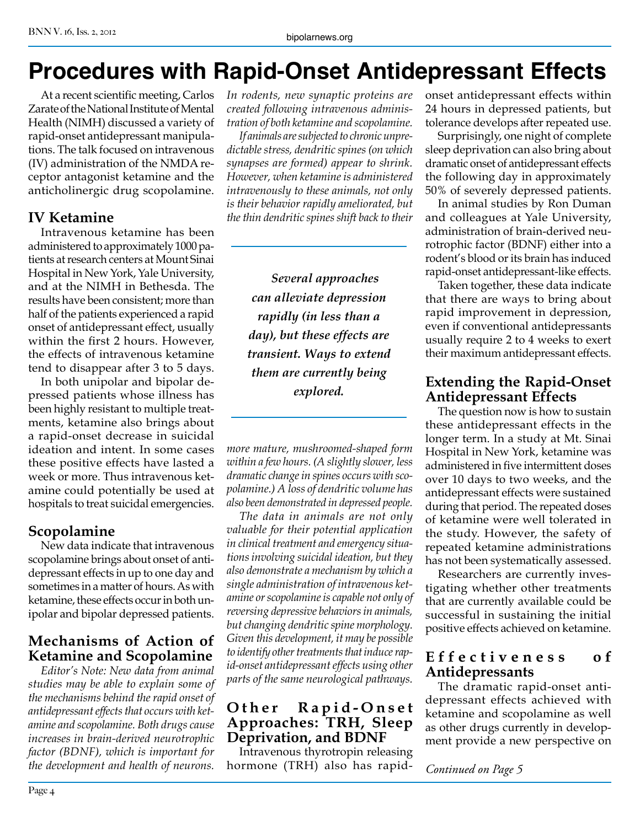#### BNN V. 16, Iss. 2, 2012

## **Procedures with Rapid-Onset Antidepressant Effects**

At a recent scientific meeting, Carlos Zarate of the National Institute of Mental Health (NIMH) discussed a variety of rapid-onset antidepressant manipulations. The talk focused on intravenous (IV) administration of the NMDA receptor antagonist ketamine and the anticholinergic drug scopolamine.

#### **IV Ketamine**

Intravenous ketamine has been administered to approximately 1000 patients at research centers at Mount Sinai Hospital in New York, Yale University, and at the NIMH in Bethesda. The results have been consistent; more than half of the patients experienced a rapid onset of antidepressant effect, usually within the first 2 hours. However, the effects of intravenous ketamine tend to disappear after 3 to 5 days.

In both unipolar and bipolar depressed patients whose illness has been highly resistant to multiple treatments, ketamine also brings about a rapid-onset decrease in suicidal ideation and intent. In some cases these positive effects have lasted a week or more. Thus intravenous ketamine could potentially be used at hospitals to treat suicidal emergencies.

#### **Scopolamine**

New data indicate that intravenous scopolamine brings about onset of antidepressant effects in up to one day and sometimes in a matter of hours. As with ketamine, these effects occur in both unipolar and bipolar depressed patients.

#### **Mechanisms of Action of Ketamine and Scopolamine**

*Editor's Note: New data from animal studies may be able to explain some of the mechanisms behind the rapid onset of antidepressant effects that occurs with ketamine and scopolamine. Both drugs cause increases in brain-derived neurotrophic factor (BDNF), which is important for the development and health of neurons.* 

*In rodents, new synaptic proteins are created following intravenous administration of both ketamine and scopolamine.*

*If animals are subjected to chronic unpredictable stress, dendritic spines (on which synapses are formed) appear to shrink. However, when ketamine is administered intravenously to these animals, not only is their behavior rapidly ameliorated, but the thin dendritic spines shift back to their* 

> *Several approaches can alleviate depression rapidly (in less than a day), but these effects are transient. Ways to extend them are currently being explored.*

*more mature, mushroomed-shaped form within a few hours. (A slightly slower, less dramatic change in spines occurs with scopolamine.) A loss of dendritic volume has also been demonstrated in depressed people.*

*The data in animals are not only valuable for their potential application in clinical treatment and emergency situations involving suicidal ideation, but they also demonstrate a mechanism by which a single administration of intravenous ketamine or scopolamine is capable not only of reversing depressive behaviors in animals, but changing dendritic spine morphology. Given this development, it may be possible to identify other treatments that induce rapid-onset antidepressant effects using other parts of the same neurological pathways.*

#### **Other Rapid-Onset Approaches: TRH, Sleep Deprivation, and BDNF**

Intravenous thyrotropin releasing hormone (TRH) also has rapidonset antidepressant effects within 24 hours in depressed patients, but tolerance develops after repeated use.

Surprisingly, one night of complete sleep deprivation can also bring about dramatic onset of antidepressant effects the following day in approximately 50% of severely depressed patients.

In animal studies by Ron Duman and colleagues at Yale University, administration of brain-derived neurotrophic factor (BDNF) either into a rodent's blood or its brain has induced rapid-onset antidepressant-like effects.

Taken together, these data indicate that there are ways to bring about rapid improvement in depression, even if conventional antidepressants usually require 2 to 4 weeks to exert their maximum antidepressant effects.

#### **Extending the Rapid-Onset Antidepressant Effects**

The question now is how to sustain these antidepressant effects in the longer term. In a study at Mt. Sinai Hospital in New York, ketamine was administered in five intermittent doses over 10 days to two weeks, and the antidepressant effects were sustained during that period. The repeated doses of ketamine were well tolerated in the study. However, the safety of repeated ketamine administrations has not been systematically assessed.

Researchers are currently investigating whether other treatments that are currently available could be successful in sustaining the initial positive effects achieved on ketamine.

#### **E f f e c t i v e n e s s o f Antidepressants**

The dramatic rapid-onset antidepressant effects achieved with ketamine and scopolamine as well as other drugs currently in development provide a new perspective on

*Continued on Page 5*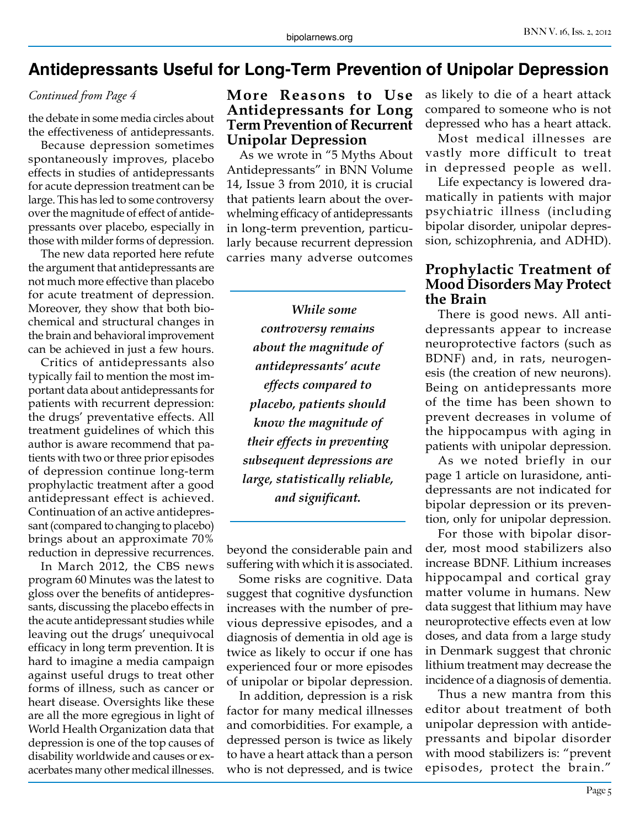## **Antidepressants Useful for Long-Term Prevention of Unipolar Depression**

*Continued from Page 4*

the debate in some media circles about the effectiveness of antidepressants.

Because depression sometimes spontaneously improves, placebo effects in studies of antidepressants for acute depression treatment can be large. This has led to some controversy over the magnitude of effect of antidepressants over placebo, especially in those with milder forms of depression.

The new data reported here refute the argument that antidepressants are not much more effective than placebo for acute treatment of depression. Moreover, they show that both biochemical and structural changes in the brain and behavioral improvement can be achieved in just a few hours.

Critics of antidepressants also typically fail to mention the most important data about antidepressants for patients with recurrent depression: the drugs' preventative effects. All treatment guidelines of which this author is aware recommend that patients with two or three prior episodes of depression continue long-term prophylactic treatment after a good antidepressant effect is achieved. Continuation of an active antidepressant (compared to changing to placebo) brings about an approximate 70% reduction in depressive recurrences.

In March 2012, the CBS news program 60 Minutes was the latest to gloss over the benefits of antidepressants, discussing the placebo effects in the acute antidepressant studies while leaving out the drugs' unequivocal efficacy in long term prevention. It is hard to imagine a media campaign against useful drugs to treat other forms of illness, such as cancer or heart disease. Oversights like these are all the more egregious in light of World Health Organization data that depression is one of the top causes of disability worldwide and causes or exacerbates many other medical illnesses.

#### **More Reasons to Use Antidepressants for Long Term Prevention of Recurrent Unipolar Depression**

As we wrote in "5 Myths About Antidepressants" in BNN Volume 14, Issue 3 from 2010, it is crucial that patients learn about the overwhelming efficacy of antidepressants in long-term prevention, particularly because recurrent depression carries many adverse outcomes

*While some controversy remains about the magnitude of antidepressants' acute effects compared to placebo, patients should know the magnitude of their effects in preventing subsequent depressions are large, statistically reliable, and significant.* 

beyond the considerable pain and suffering with which it is associated.

Some risks are cognitive. Data suggest that cognitive dysfunction increases with the number of previous depressive episodes, and a diagnosis of dementia in old age is twice as likely to occur if one has experienced four or more episodes of unipolar or bipolar depression.

In addition, depression is a risk factor for many medical illnesses and comorbidities. For example, a depressed person is twice as likely to have a heart attack than a person who is not depressed, and is twice

as likely to die of a heart attack compared to someone who is not depressed who has a heart attack.

Most medical illnesses are vastly more difficult to treat in depressed people as well.

Life expectancy is lowered dramatically in patients with major psychiatric illness (including bipolar disorder, unipolar depression, schizophrenia, and ADHD).

#### **Prophylactic Treatment of Mood Disorders May Protect the Brain**

There is good news. All antidepressants appear to increase neuroprotective factors (such as BDNF) and, in rats, neurogenesis (the creation of new neurons). Being on antidepressants more of the time has been shown to prevent decreases in volume of the hippocampus with aging in patients with unipolar depression.

As we noted briefly in our page 1 article on lurasidone, antidepressants are not indicated for bipolar depression or its prevention, only for unipolar depression.

For those with bipolar disorder, most mood stabilizers also increase BDNF. Lithium increases hippocampal and cortical gray matter volume in humans. New data suggest that lithium may have neuroprotective effects even at low doses, and data from a large study in Denmark suggest that chronic lithium treatment may decrease the incidence of a diagnosis of dementia.

Thus a new mantra from this editor about treatment of both unipolar depression with antidepressants and bipolar disorder with mood stabilizers is: "prevent episodes, protect the brain."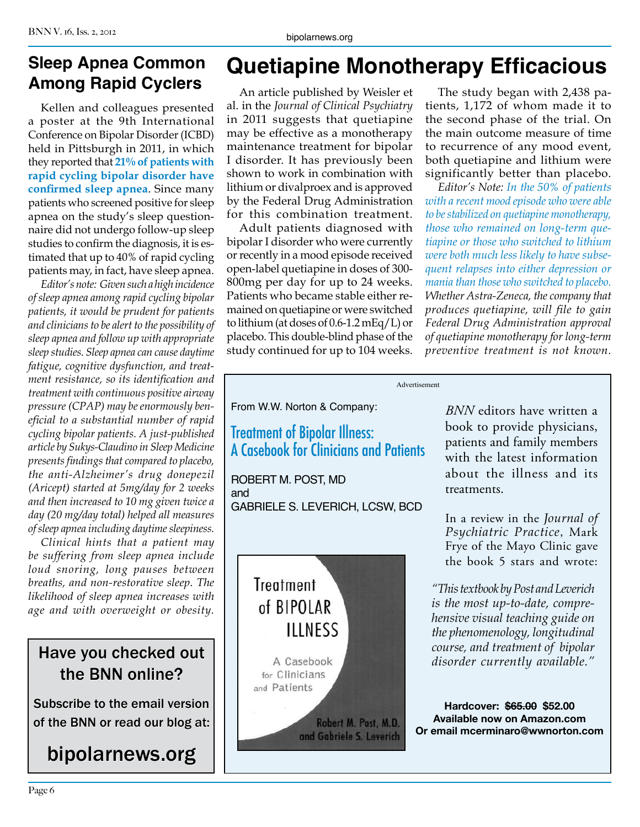## **Sleep Apnea Common Among Rapid Cyclers**

Kellen and colleagues presented a poster at the 9th International Conference on Bipolar Disorder (ICBD) held in Pittsburgh in 2011, in which they reported that **21% of patients with rapid cycling bipolar disorder have confirmed sleep apnea**. Since many patients who screened positive for sleep apnea on the study's sleep questionnaire did not undergo follow-up sleep studies to confirm the diagnosis, it is estimated that up to 40% of rapid cycling patients may, in fact, have sleep apnea.

*Editor's note: Given such a high incidence of sleep apnea among rapid cycling bipolar patients, it would be prudent for patients and clinicians to be alert to the possibility of sleep apnea and follow up with appropriate sleep studies. Sleep apnea can cause daytime fatigue, cognitive dysfunction, and treatment resistance, so its identification and treatment with continuous positive airway pressure (CPAP) may be enormously beneficial to a substantial number of rapid cycling bipolar patients. A just-published article by Sukys-Claudino in Sleep Medicine presents findings that compared to placebo, the anti-Alzheimer's drug donepezil (Aricept) started at 5mg/day for 2 weeks and then increased to 10 mg given twice a day (20 mg/day total) helped all measures of sleep apnea including daytime sleepiness.*

*Clinical hints that a patient may be suffering from sleep apnea include loud snoring, long pauses between breaths, and non-restorative sleep. The likelihood of sleep apnea increases with age and with overweight or obesity.*

## Have you checked out the BNN online?

Subscribe to the email version of the BNN or read our blog at:

## bipolarnews.org

## **Quetiapine Monotherapy Efficacious**

An article published by Weisler et al. in the *Journal of Clinical Psychiatry*  in 2011 suggests that quetiapine may be effective as a monotherapy maintenance treatment for bipolar I disorder. It has previously been shown to work in combination with lithium or divalproex and is approved by the Federal Drug Administration for this combination treatment.

Adult patients diagnosed with bipolar I disorder who were currently or recently in a mood episode received open-label quetiapine in doses of 300- 800mg per day for up to 24 weeks. Patients who became stable either remained on quetiapine or were switched to lithium (at doses of 0.6-1.2 mEq/L) or placebo. This double-blind phase of the study continued for up to 104 weeks.

The study began with 2,438 patients, 1,172 of whom made it to the second phase of the trial. On the main outcome measure of time to recurrence of any mood event, both quetiapine and lithium were significantly better than placebo.

*Editor's Note: In the 50% of patients with a recent mood episode who were able to be stabilized on quetiapine monotherapy, those who remained on long-term quetiapine or those who switched to lithium were both much less likely to have subsequent relapses into either depression or mania than those who switched to placebo. Whether Astra-Zeneca, the company that produces quetiapine, will file to gain Federal Drug Administration approval of quetiapine monotherapy for long-term preventive treatment is not known.*

Advertisement

From W.W. Norton & Company:

## Treatment of Bipolar Illness: A Casebook for Clinicians and Patients

ROBERT M. POST, MD and GABRIELE S. LEVERICH, LCSW, BCD



*BNN* editors have written a book to provide physicians, patients and family members with the latest information about the illness and its treatments.

In a review in the *Journal of Psychiatric Practice*, Mark Frye of the Mayo Clinic gave the book 5 stars and wrote:

*"This textbook by Post and Leverich is the most up-to-date, comprehensive visual teaching guide on the phenomenology, longitudinal course, and treatment of bipolar disorder currently available."*

**Hardcover: \$65.00 \$52.00 Available now on Amazon.com Or email mcerminaro@wwnorton.com**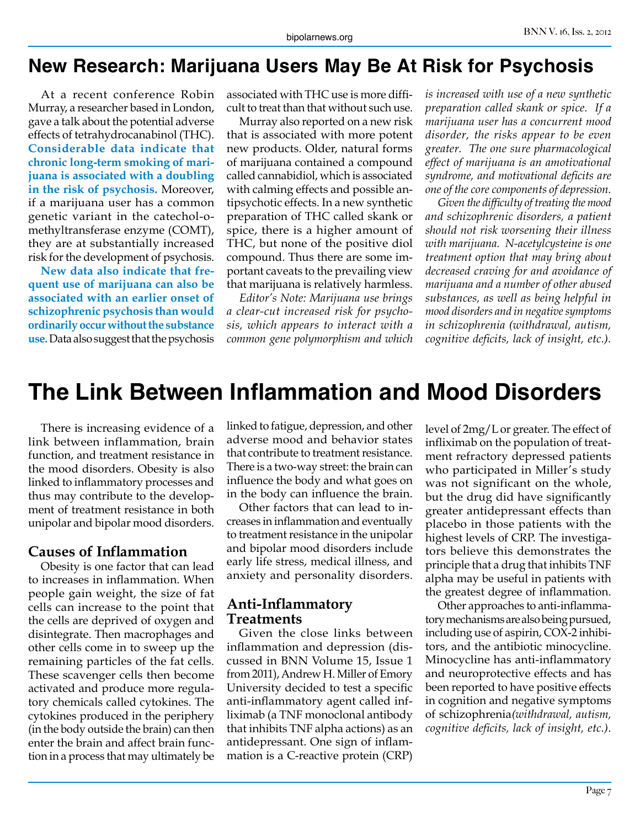## **New Research: Marijuana Users May Be At Risk for Psychosis**

At a recent conference Robin Murray, a researcher based in London, gave a talk about the potential adverse effects of tetrahydrocanabinol (THC). **Considerable data indicate that chronic long-term smoking of marijuana is associated with a doubling in the risk of psychosis.** Moreover, if a marijuana user has a common genetic variant in the catechol-omethyltransferase enzyme (COMT), they are at substantially increased risk for the development of psychosis.

**New data also indicate that frequent use of marijuana can also be associated with an earlier onset of schizophrenic psychosis than would ordinarily occur without the substance use.** Data also suggest that the psychosis

associated with THC use is more difficult to treat than that without such use.

Murray also reported on a new risk that is associated with more potent new products. Older, natural forms of marijuana contained a compound called cannabidiol, which is associated with calming effects and possible antipsychotic effects. In a new synthetic preparation of THC called skank or spice, there is a higher amount of THC, but none of the positive diol compound. Thus there are some important caveats to the prevailing view that marijuana is relatively harmless.

*Editor's Note: Marijuana use brings a clear-cut increased risk for psychosis, which appears to interact with a common gene polymorphism and which* 

*is increased with use of a new synthetic preparation called skank or spice. If a marijuana user has a concurrent mood disorder, the risks appear to be even greater. The one sure pharmacological effect of marijuana is an amotivational syndrome, and motivational deficits are one of the core components of depression.*

*Given the difficulty of treating the mood and schizophrenic disorders, a patient should not risk worsening their illness with marijuana. N-acetylcysteine is one treatment option that may bring about decreased craving for and avoidance of marijuana and a number of other abused substances, as well as being helpful in mood disorders and in negative symptoms in schizophrenia (withdrawal, autism, cognitive deficits, lack of insight, etc.).*

## **The Link Between Inflammation and Mood Disorders**

There is increasing evidence of a link between inflammation, brain function, and treatment resistance in the mood disorders. Obesity is also linked to inflammatory processes and thus may contribute to the development of treatment resistance in both unipolar and bipolar mood disorders.

#### **Causes of Inflammation**

Obesity is one factor that can lead to increases in inflammation. When people gain weight, the size of fat cells can increase to the point that the cells are deprived of oxygen and disintegrate. Then macrophages and other cells come in to sweep up the remaining particles of the fat cells. These scavenger cells then become activated and produce more regulatory chemicals called cytokines. The cytokines produced in the periphery (in the body outside the brain) can then enter the brain and affect brain function in a process that may ultimately be

linked to fatigue, depression, and other adverse mood and behavior states that contribute to treatment resistance. There is a two-way street: the brain can influence the body and what goes on in the body can influence the brain.

Other factors that can lead to increases in inflammation and eventually to treatment resistance in the unipolar and bipolar mood disorders include early life stress, medical illness, and anxiety and personality disorders.

#### **Anti-Inflammatory Treatments**

Given the close links between inflammation and depression (discussed in BNN Volume 15, Issue 1 from 2011), Andrew H. Miller of Emory University decided to test a specific anti-inflammatory agent called infliximab (a TNF monoclonal antibody that inhibits TNF alpha actions) as an antidepressant. One sign of inflammation is a C-reactive protein (CRP)

level of 2mg/L or greater. The effect of infliximab on the population of treatment refractory depressed patients who participated in Miller's study was not significant on the whole, but the drug did have significantly greater antidepressant effects than placebo in those patients with the highest levels of CRP. The investigators believe this demonstrates the principle that a drug that inhibits TNF alpha may be useful in patients with the greatest degree of inflammation.

Other approaches to anti-inflammatory mechanisms are also being pursued, including use of aspirin, COX-2 inhibitors, and the antibiotic minocycline. Minocycline has anti-inflammatory and neuroprotective effects and has been reported to have positive effects in cognition and negative symptoms of schizophrenia*(withdrawal, autism, cognitive deficits, lack of insight, etc.)*.